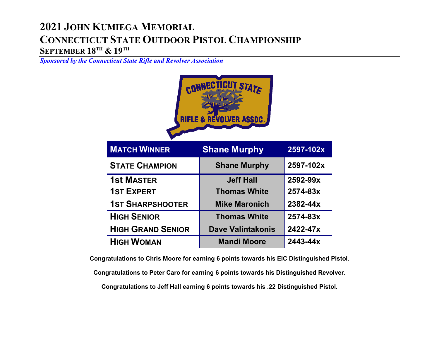## **2021 JOHN KUMIEGA MEMORIAL CONNECTICUT STATE OUTDOOR PISTOL CHAMPIONSHIP SEPTEMBER 18TH & 19TH**

*Sponsored by the Connecticut State Rifle and Revolver Association*



| <b>MATCH WINNER</b>      | <b>Shane Murphy</b>      | 2597-102x |
|--------------------------|--------------------------|-----------|
| <b>STATE CHAMPION</b>    | <b>Shane Murphy</b>      | 2597-102x |
| <b>1st MASTER</b>        | <b>Jeff Hall</b>         | 2592-99x  |
| <b>1ST EXPERT</b>        | <b>Thomas White</b>      | 2574-83x  |
| <b>1ST SHARPSHOOTER</b>  | <b>Mike Maronich</b>     | 2382-44x  |
| <b>HIGH SENIOR</b>       | <b>Thomas White</b>      | 2574-83x  |
| <b>HIGH GRAND SENIOR</b> | <b>Dave Valintakonis</b> | 2422-47x  |
| <b>HIGH WOMAN</b>        | <b>Mandi Moore</b>       | 2443-44x  |

**Congratulations to Chris Moore for earning 6 points towards his EIC Distinguished Pistol. Congratulations to Peter Caro for earning 6 points towards his Distinguished Revolver.**

**Congratulations to Jeff Hall earning 6 points towards his .22 Distinguished Pistol.**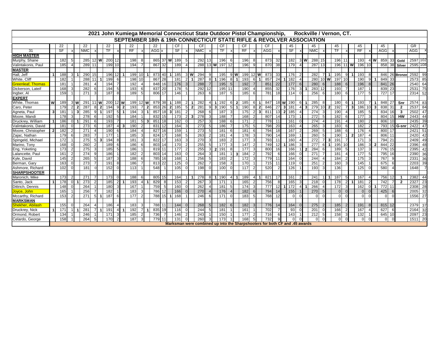| Rockville / Vernon, CT.<br>2021 John Kumiega Memorial Connecticut State Outdoor Pistol Championship, |                |     |  |                |     |                            |                       |    |                     |     |                 |                |          |    |                       |                                  |            |    |                 |            |                |     |                  |                                                                             |                 |                       |          |                |            |                      |        |                |    |   |          |          |              |            |                |                |            |                 |
|------------------------------------------------------------------------------------------------------|----------------|-----|--|----------------|-----|----------------------------|-----------------------|----|---------------------|-----|-----------------|----------------|----------|----|-----------------------|----------------------------------|------------|----|-----------------|------------|----------------|-----|------------------|-----------------------------------------------------------------------------|-----------------|-----------------------|----------|----------------|------------|----------------------|--------|----------------|----|---|----------|----------|--------------|------------|----------------|----------------|------------|-----------------|
|                                                                                                      |                |     |  |                |     |                            |                       |    |                     |     |                 |                |          |    |                       |                                  |            |    |                 |            |                |     |                  | SEPTEMBER 18th & 19th CONNECTICUT STATE RIFLE & REVOLVER ASSOCIATION        |                 |                       |          |                |            |                      |        |                |    |   |          |          |              |            |                |                |            |                 |
|                                                                                                      |                | 22  |  |                | 22  |                            | 22                    |    |                     | 22  |                 |                | 22       |    | CF                    |                                  | СF         |    | СF              |            |                | СF  |                  | СF                                                                          |                 | 45                    |          |                | 45         |                      |        | 45             |    |   | 45       |          |              | 45         |                |                | GR         |                 |
| 31                                                                                                   |                | SF  |  |                | NMC |                            | <b>TF</b>             |    |                     | RF  |                 |                | AGG x    |    | SF                    |                                  | <b>NMC</b> |    | TF              |            |                | RF  |                  | <b>AGG</b>                                                                  |                 | SF                    |          |                | <b>NMC</b> |                      |        | <b>TF</b>      |    |   | RF       |          |              | <b>AGG</b> |                |                | <b>AGG</b> |                 |
| <b>HIGH MASTER</b>                                                                                   |                |     |  |                |     |                            |                       |    |                     |     |                 |                |          |    |                       |                                  |            |    |                 |            |                |     |                  |                                                                             |                 |                       |          |                |            |                      |        |                |    |   |          |          |              |            |                |                |            |                 |
| Murphy, Shane                                                                                        |                | 182 |  |                | 285 | 12 $\overline{\mathsf{W}}$ | 200                   |    |                     | 198 |                 |                | 865 37 W |    | 189                   | -5                               | 292        | 13 | 196             | 6          |                | 196 |                  | 873                                                                         | 32              | 182                   |          | 3W             | 288        | 15                   |        | 196            | 11 |   | 193      |          | 4 <b>W</b>   | 859        | 33             | Gold           | 2597 102   |                 |
| Valintakonis, Paul                                                                                   |                | 185 |  |                | 289 |                            | 199                   | 10 |                     | 194 |                 |                | 867 32   |    | 189                   |                                  |            |    | 288 13 W 197 12 |            |                | 196 |                  | 870                                                                         | -38             | 179                   |          |                | 287        |                      |        | 196 11         |    | W | 196      |          |              | 858        | 38             | Silver         | 2595 108   |                 |
| <b>MASTER</b>                                                                                        |                |     |  |                |     |                            |                       |    |                     |     |                 |                |          |    |                       |                                  |            |    |                 |            |                |     |                  |                                                                             |                 |                       |          |                |            |                      |        |                |    |   |          |          |              |            |                |                |            |                 |
| Hall, Jeff                                                                                           |                | 188 |  |                | 290 |                            | 196                   |    |                     | 199 | 10 <sup>1</sup> |                | 873 40   |    | 185                   | 3W                               | 294        |    | 195             | 9 <b>W</b> |                |     | 199 12 W         | 873                                                                         | 33              | 176                   |          |                | 282        |                      |        | 195            |    |   | 193      |          |              |            |                | 846 26 Bronze  | 2592       | 99              |
| White, Cliff                                                                                         |                | 182 |  |                | 288 |                            | 199                   |    |                     | 198 | 10              |                | 867 28   |    | 181                   | $\overline{1}$                   | 287        | 8  | 1 196           | $8$   1    |                | 193 | 6                | 857<br>$\mathbf{1}$                                                         | 24              | 182                   |          |                | 280        |                      | $10$ W | 197            | 10 |   | 190      | 9        | -1           | 849 33     |                |                | 2573       | 85              |
| Greenleaf. Thomas                                                                                    |                | 181 |  |                | 281 |                            | 194                   |    |                     | 192 |                 |                | 848 16   |    | 176                   |                                  | 288        |    | 195             |            |                | 192 |                  | 851                                                                         | 22              |                       | 177      | 6              | 280        |                      |        | 188            |    |   | 196      |          |              | 841 26     |                |                | 2540       | 64              |
| Dickerson, Lateif                                                                                    |                | 168 |  |                | 282 | 6                          | 194                   |    |                     | 193 |                 |                | 837 20   |    | 178                   | -5                               | 292 12     |    | 195 11          |            |                | 190 |                  | 855                                                                         | 32              |                       | 176      | 3 <sup>l</sup> |            | 283 12               |        | 193            |    |   | 187      |          |              | 839 23     |                |                | 2531       | $\overline{75}$ |
| Ingber, Al                                                                                           |                | 159 |  |                | 271 |                            | 187                   |    |                     | 189 |                 |                | 806 17   |    | 146                   |                                  | 263        | 6  | 187             |            |                | 185 | 6                | 781                                                                         | 18              | 114                   |          |                | 256        | 6                    |        | 180            |    |   | 177      | -5       |              |            | $727$ 17       |                | 2314       | 52              |
| <b>EXPERT</b>                                                                                        |                |     |  |                |     |                            |                       |    |                     |     |                 |                |          |    |                       |                                  |            |    |                 |            |                |     |                  |                                                                             |                 |                       |          |                |            |                      |        |                |    |   |          |          |              |            |                |                |            |                 |
| White, Thomas                                                                                        | W              | 189 |  | 3W             | 291 | $11$ W                     | 200                   |    | $12$ W              | 199 | $12$ W          |                | 879 38   |    | 188<br>11             | $\overline{1}$<br>$2\mathsf{I}$  | 282        |    | 1 1 9 2         | 6          | $\overline{2}$ | 185 | 6                | $\overline{1}$<br>847                                                       | 18 W            |                       | 190      | 6              | 285        | 8                    |        | 180            | 61 |   | 193      |          |              | 848 27     |                | Snr            | 2574       | 83              |
| Caro. Peter                                                                                          |                | 179 |  |                | 287 | 8                          | $\overline{2}$<br>194 |    | $\overline{2}$<br>9 | 193 |                 | $\overline{2}$ | 853 26   |    | 185<br>2 <sup>1</sup> | 5 <sup>1</sup><br>$\overline{2}$ | 281        | q  | 3 190           |            | $\vert$ 1      | 190 | 8                | $\overline{2}$<br>846                                                       | 27              | 181<br>3 <sup>1</sup> |          | $\overline{4}$ |            | 279 10               | 2      | 192            |    |   | 186      | 10 I     | $\mathbf{3}$ | 838 31     |                | $\overline{2}$ | 2537       | 84              |
| Agneta, Paul                                                                                         | 3              | 181 |  | 3 <sup>1</sup> | 285 | 9                          | 197                   |    | 5 <sub>l</sub><br>1 | 194 |                 | $\overline{1}$ | 857      | 18 | 181<br>3 <sup>1</sup> |                                  | 268        | 6  | 187             |            |                | 175 | $\overline{2}$ 3 | 811                                                                         | 13              | 185<br>$\overline{2}$ |          |                | 274        |                      |        | 190            |    |   | 185      | -51      |              | 834        | 16             | 3              | 2502       | 47              |
| Moore, Mandi                                                                                         |                | 178 |  |                | 278 |                            | 192                   |    |                     | 184 |                 |                | 832      |    | 173                   | 3 <sup>1</sup>                   | 278        |    | 188             |            |                | 168 |                  | 807                                                                         | 14              | 173                   |          |                | 272        |                      |        | 182            |    |   | 177      |          |              | 804        | 15             | <b>HW</b>      | 2443       | 44              |
| Druckrey, William                                                                                    |                | 186 |  |                | 291 |                            | 193                   |    |                     | 181 | 51              | $\mathbf{3}$   | 851 18   |    | 162                   |                                  | 257        |    | 188             | -6         |                | 171 |                  | 778                                                                         | 11              | 161                   |          | $\Omega$       | 274        |                      |        | 191            |    |   | 180      |          |              | 806        | 10             |                | 2435       | 39              |
| Valintakonis, David                                                                                  |                | 181 |  |                | 273 |                            | 187                   |    | 3 <sup>1</sup>      | 190 |                 |                | 831 12   |    | 164                   |                                  | 273        |    | 186             |            |                | 175 |                  | 798                                                                         | 20              | 163                   |          |                | 265        |                      |        | 183            |    |   | 182      |          |              | 793        |                | 15 G-snr       | 2422       | 47              |
| Moore, Christopher                                                                                   | $\overline{2}$ | 182 |  |                | 271 | $\overline{4}$             | 190                   |    | 6                   | 184 |                 |                | 827 16   |    | 159                   |                                  | 273        | 5  | 181             | -6         |                | 181 | 6                | 794                                                                         | 18              | 167                   |          | 2              | 269        |                      |        | 188            |    |   | 176      |          |              |            | 800 17         |                | 2421       | 51              |
| Zajac, Nathan                                                                                        |                | 179 |  |                | 283 |                            | 177                   |    |                     | 185 |                 |                | 824 17   |    | 168                   |                                  | 263        |    | 181             |            |                | 178 |                  | 790                                                                         | 14              | 169                   |          |                | 260        |                      |        | 190            |    |   | 187      |          |              | 806        | 11             |                | 2420       | 42              |
| Spingeld, Michael                                                                                    |                | 172 |  |                | 275 |                            | 194<br>3              |    |                     | 181 |                 |                | 822 17   |    | 163                   |                                  | 270        |    | 183             |            |                | 177 |                  | 793                                                                         | 11              | 160                   |          |                | 272        |                      | 3      | 191            |    |   | 171      |          |              |            | 794 21         |                | 2409       | 49              |
| Marino, Tony                                                                                         |                | 168 |  |                | 260 |                            | 189                   |    |                     | 186 |                 |                | 803 14   |    | 170                   |                                  | 255        |    | 177             |            |                | 147 |                  | 749                                                                         | 12 <sub>l</sub> | 186                   |          | 3              | 277        | 6                    |        | 195            | 10 |   | 186      |          |              | 844 22     |                |                | 2396       | 48              |
| Eng, Yoketing                                                                                        |                | 173 |  |                | 275 |                            | 185                   |    |                     | 186 |                 |                | 819 11   |    | 177                   | $\mathcal{P}$                    | 255        | З  | 2 191           | 8          |                | 177 |                  | 800                                                                         | 16              | 166                   |          |                | 284        |                      |        | 189            |    |   | 137      |          |              |            | 776 15         |                | 2395       | 42              |
| Lalancette, Paul                                                                                     |                | 161 |  |                | 274 |                            | 186                   |    |                     | 182 |                 |                | 803 14   |    | 163                   |                                  | 264        |    | 181             |            | $\mathbf{3}$   | 184 |                  | 792                                                                         | 6               | 166                   |          |                | 271        |                      |        | 181            |    |   | 177      | -5       |              | 795        | 16             |                | 2390       | 36              |
| Kyle, David                                                                                          |                | 145 |  |                | 265 |                            | 187                   |    |                     | 188 |                 |                | 785 16   |    | 168                   |                                  | 256        |    | 183             |            |                | 172 |                  | 779                                                                         | 11              | 164                   |          |                | 244        |                      |        | 184            |    |   | 175      |          |              | 767        |                |                | 2331       | 36              |
| Berman, Gary                                                                                         |                | 163 |  |                | 273 |                            | 191                   |    |                     | 186 |                 |                | 813 22   |    | 125                   |                                  | 262        |    | 158             |            |                | 170 |                  | 715                                                                         | 11              |                       | 119      |                | 251        |                      |        | 160            |    |   | 145      |          |              | 675        |                |                | 2203       | 39              |
| Ashmore, Richard                                                                                     |                | 102 |  |                | 181 |                            | 152                   |    |                     | 113 |                 |                | 548      |    | 105                   |                                  | 198        |    | 100             |            |                | 117 |                  | 520                                                                         |                 | 126                   |          |                | 193        |                      |        | 136            |    |   | 125      |          |              | 580        |                |                | 1648       |                 |
| <b>SHARPSHOOTER</b>                                                                                  |                |     |  |                |     |                            |                       |    |                     |     |                 |                |          |    |                       |                                  |            |    |                 |            |                |     |                  |                                                                             |                 |                       |          |                |            |                      |        |                |    |   |          |          |              |            |                |                |            |                 |
| Maronich, Mike                                                                                       |                | 173 |  |                | 271 |                            | 173                   |    |                     | 188 |                 |                | 805 15   |    | 164                   | 11                               | 278        | 8  | 1 190           |            |                | 189 |                  | 821                                                                         |                 | 161                   |          |                | 241        |                      |        | 187            |    |   | 167      |          |              | 756        |                |                | 2382       | 44              |
| Santo, Jack                                                                                          |                | 178 |  |                | 273 |                            | 185                   |    | $\overline{2}$      | 193 |                 | -11            | 829      |    | 153                   |                                  | 267        |    | 171             |            |                | 165 |                  | 756                                                                         | 8               | 165                   |          | 3              | 218        |                      |        | 178            |    |   | 181      | 2        |              | 742        | $\overline{7}$ | $\overline{2}$ | 2327       | 23              |
| Dittrich, Dennis                                                                                     |                | 148 |  |                | 264 |                            | 180                   |    |                     | 167 |                 |                | 759      |    | 160                   |                                  | 262        |    | 181             |            |                | 174 |                  | 777                                                                         | 12 <sub>l</sub> | 172                   |          | 4              | 266        |                      |        | 172            |    |   | 162      | $\Omega$ |              | 772        | 11             |                | 2308       | 28              |
| Joyce, John                                                                                          |                | 165 |  |                | 256 |                            | 182                   |    |                     | 183 |                 |                | 786 12   |    | 166                   |                                  | 270        |    | 176             |            |                | 182 |                  | 794                                                                         | 14              |                       | 155      |                | 270        |                      |        | $\Omega$       |    |   | $\Omega$ |          |              | 425        |                |                | 2005       | 32              |
| Mccarthy, Richard                                                                                    |                | 153 |  |                | 271 | 5 <sup>1</sup><br>-1       | 187                   |    |                     | 177 |                 |                | 788 15   |    | 168<br>11             |                                  | 246        | -6 | 171             | $\Omega$   |                | 183 |                  | 768                                                                         | 12              |                       | $\Omega$ | $\Omega$       |            | $\Omega$<br>$\Omega$ |        | $\overline{0}$ |    |   | $\Omega$ |          |              | $\Omega$   |                |                | 1556       | 27              |
| <b>MARKSMAN</b>                                                                                      |                |     |  |                |     |                            |                       |    |                     |     |                 |                |          |    |                       |                                  |            |    |                 |            |                |     |                  |                                                                             |                 |                       |          |                |            |                      |        |                |    |   |          |          |              |            |                |                |            |                 |
| <b>Shekher, Abilash</b>                                                                              |                | 155 |  |                | 264 |                            | 186                   |    |                     | 183 |                 |                | 788 11   |    | 144                   |                                  | 268        |    | 182             | 6          |                | 182 |                  | 776                                                                         | 14              |                       | 164      | $\Omega$       | 275        |                      |        | 185            |    |   | 191      | -8       |              | 815 12     |                |                | 2379 37    |                 |
| Druckrey, Nick                                                                                       |                | 171 |  |                | 281 |                            | 191                   |    |                     | 192 |                 |                | 835 19   |    | 116                   |                                  | 244        |    | 181             |            |                | 161 |                  | 702                                                                         |                 |                       | 93       |                | 201        |                      |        | 166            |    |   | 167      |          |              | 627        |                |                | 2164       | 32              |
| Ormond, Robert                                                                                       |                | 134 |  |                | 246 |                            | 171                   |    |                     | 185 |                 |                | 736      |    | 146                   | -21                              | 243        |    | 150             |            |                | 177 |                  | 716                                                                         | 6               |                       | 143      |                | 212        | -5                   |        | 158            |    |   | 132      |          |              |            | 645 10         |                | 2097       | 23              |
| Celardo, George                                                                                      |                | 158 |  |                | 264 |                            | 170                   |    |                     | 187 |                 |                | 779 1    |    | 131                   |                                  | 260        | 3  | 173             |            |                | 168 | .5               | 732                                                                         | 9               |                       | $\Omega$ |                |            | $\Omega$<br>$\Omega$ |        | $\Omega$       |    |   | $\Omega$ |          |              | $\Omega$   | $\Omega$       |                | 1511       | $\overline{20}$ |
|                                                                                                      |                |     |  |                |     |                            |                       |    |                     |     |                 |                |          |    |                       |                                  |            |    |                 |            |                |     |                  | Marksman were combined up into the Sharpshooters for both CF and .45 awards |                 |                       |          |                |            |                      |        |                |    |   |          |          |              |            |                |                |            |                 |